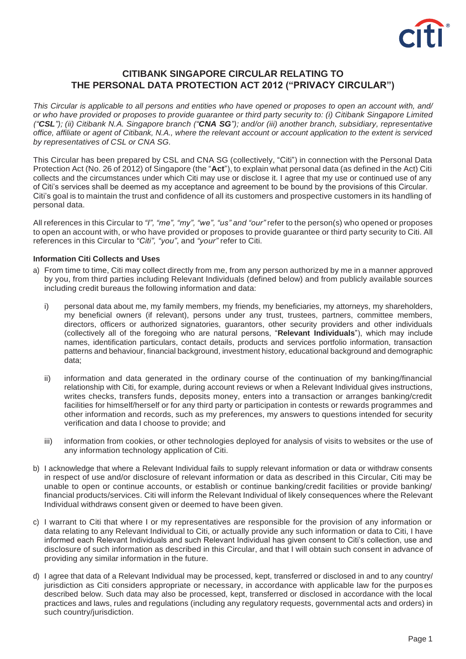

# **CITIBANK SINGAPORE CIRCULAR RELATING TO THE PERSONAL DATA PROTECTION ACT 2012 ("PRIVACY CIRCULAR")**

This Circular is applicable to all persons and entities who have opened or proposes to open an account with, and/ or who have provided or proposes to provide guarantee or third party security to: (i) Citibank Singapore Limited ("CSL"); (ii) Citibank N.A. Singapore branch ("CNA SG"); and/or (iii) another branch, subsidiary, representative *office, affiliate or agent of Citibank, N.A., where the relevant account or account application to the extent is serviced by representatives of CSL or CNA SG.*

This Circular has been prepared by CSL and CNA SG (collectively, "Citi") in connection with the Personal Data Protection Act (No. 26 of 2012) of Singapore (the "**Act**"), to explain what personal data (as defined in the Act) Citi collects and the circumstances under which Citi may use or disclose it. I agree that my use or continued use of any of Citi's services shall be deemed as my acceptance and agreement to be bound by the provisions of this Circular. Citi's goal is to maintain the trust and confidence of all its customers and prospective customers in its handling of personal data.

All references in this Circular to *"I", "me", "my", "we", "us" and "our"* refer to the person(s) who opened or proposes to open an account with, or who have provided or proposes to provide guarantee or third party security to Citi. All references in this Circular to *"Citi", "you"*, and *"your"* refer to Citi.

### **Information Citi Collects and Uses**

- a) From time to time, Citi may collect directly from me, from any person authorized by me in a manner approved by you, from third parties including Relevant Individuals (defined below) and from publicly available sources including credit bureaus the following information and data:
	- i) personal data about me, my family members, my friends, my beneficiaries, my attorneys, my shareholders, my beneficial owners (if relevant), persons under any trust, trustees, partners, committee members, directors, officers or authorized signatories, guarantors, other security providers and other individuals (collectively all of the foregoing who are natural persons, "**Relevant Individuals**"), which may include names, identification particulars, contact details, products and services portfolio information, transaction patterns and behaviour, financial background, investment history, educational background and demographic data;
	- ii) information and data generated in the ordinary course of the continuation of my banking/financial relationship with Citi, for example, during account reviews or when a Relevant Individual gives instructions, writes checks, transfers funds, deposits money, enters into a transaction or arranges banking/credit facilities for himself/herself or for any third party or participation in contests or rewards programmes and other information and records, such as my preferences, my answers to questions intended for security verification and data I choose to provide; and
	- iii) information from cookies, or other technologies deployed for analysis of visits to websites or the use of any information technology application of Citi.
- b) I acknowledge that where a Relevant Individual fails to supply relevant information or data or withdraw consents in respect of use and/or disclosure of relevant information or data as described in this Circular, Citi may be unable to open or continue accounts, or establish or continue banking/credit facilities or provide banking/ financial products/services. Citi will inform the Relevant Individual of likely consequences where the Relevant Individual withdraws consent given or deemed to have been given.
- c) I warrant to Citi that where I or my representatives are responsible for the provision of any information or data relating to any Relevant Individual to Citi, or actually provide any such information or data to Citi, I have informed each Relevant Individuals and such Relevant Individual has given consent to Citi's collection, use and disclosure of such information as described in this Circular, and that I will obtain such consent in advance of providing any similar information in the future.
- d) I agree that data of a Relevant Individual may be processed, kept, transferred or disclosed in and to any country/ jurisdiction as Citi considers appropriate or necessary, in accordance with applicable law for the purposes described below. Such data may also be processed, kept, transferred or disclosed in accordance with the local practices and laws, rules and regulations (including any regulatory requests, governmental acts and orders) in such country/jurisdiction.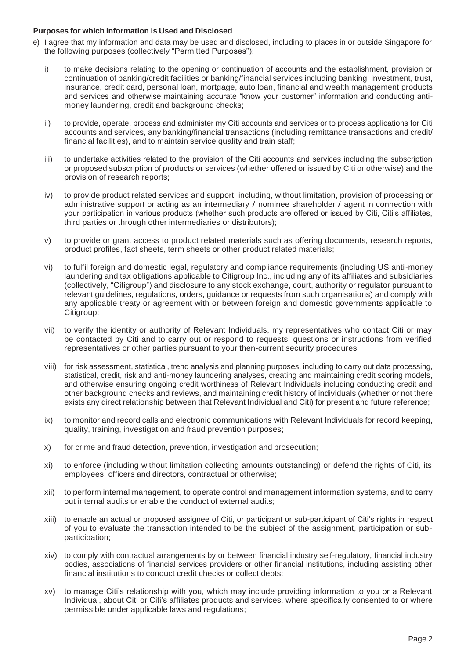## **Purposes for which Information is Used and Disclosed**

- e) I agree that my information and data may be used and disclosed, including to places in or outside Singapore for the following purposes (collectively "Permitted Purposes"):
	- i) to make decisions relating to the opening or continuation of accounts and the establishment, provision or continuation of banking/credit facilities or banking/financial services including banking, investment, trust, insurance, credit card, personal loan, mortgage, auto loan, financial and wealth management products and services and otherwise maintaining accurate "know your customer" information and conducting antimoney laundering, credit and background checks;
	- ii) to provide, operate, process and administer my Citi accounts and services or to process applications for Citi accounts and services, any banking/financial transactions (including remittance transactions and credit/ financial facilities), and to maintain service quality and train staff;
	- iii) to undertake activities related to the provision of the Citi accounts and services including the subscription or proposed subscription of products or services (whether offered or issued by Citi or otherwise) and the provision of research reports;
	- iv) to provide product related services and support, including, without limitation, provision of processing or administrative support or acting as an intermediary / nominee shareholder / agent in connection with your participation in various products (whether such products are offered or issued by Citi, Citi's affiliates, third parties or through other intermediaries or distributors);
	- v) to provide or grant access to product related materials such as offering documents, research reports, product profiles, fact sheets, term sheets or other product related materials;
	- vi) to fulfil foreign and domestic legal, regulatory and compliance requirements (including US anti-money laundering and tax obligations applicable to Citigroup Inc., including any of its affiliates and subsidiaries (collectively, "Citigroup") and disclosure to any stock exchange, court, authority or regulator pursuant to relevant guidelines, regulations, orders, guidance or requests from such organisations) and comply with any applicable treaty or agreement with or between foreign and domestic governments applicable to Citigroup;
	- vii) to verify the identity or authority of Relevant Individuals, my representatives who contact Citi or may be contacted by Citi and to carry out or respond to requests, questions or instructions from verified representatives or other parties pursuant to your then-current security procedures;
	- viii) for risk assessment, statistical, trend analysis and planning purposes, including to carry out data processing, statistical, credit, risk and anti-money laundering analyses, creating and maintaining credit scoring models, and otherwise ensuring ongoing credit worthiness of Relevant Individuals including conducting credit and other background checks and reviews, and maintaining credit history of individuals (whether or not there exists any direct relationship between that Relevant Individual and Citi) for present and future reference;
	- ix) to monitor and record calls and electronic communications with Relevant Individuals for record keeping, quality, training, investigation and fraud prevention purposes;
	- x) for crime and fraud detection, prevention, investigation and prosecution;
	- xi) to enforce (including without limitation collecting amounts outstanding) or defend the rights of Citi, its employees, officers and directors, contractual or otherwise;
	- xii) to perform internal management, to operate control and management information systems, and to carry out internal audits or enable the conduct of external audits;
	- xiii) to enable an actual or proposed assignee of Citi, or participant or sub-participant of Citi's rights in respect of you to evaluate the transaction intended to be the subject of the assignment, participation or subparticipation;
	- xiv) to comply with contractual arrangements by or between financial industry self-regulatory, financial industry bodies, associations of financial services providers or other financial institutions, including assisting other financial institutions to conduct credit checks or collect debts;
	- xv) to manage Citi's relationship with you, which may include providing information to you or a Relevant Individual, about Citi or Citi's affiliates products and services, where specifically consented to or where permissible under applicable laws and regulations;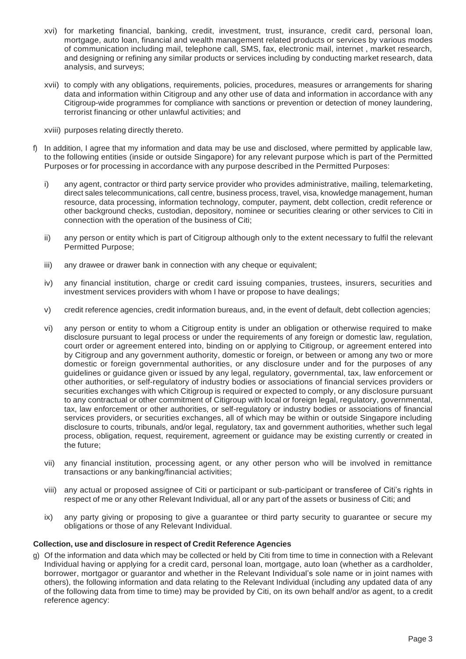- xvi) for marketing financial, banking, credit, investment, trust, insurance, credit card, personal loan, mortgage, auto loan, financial and wealth management related products or services by various modes of communication including mail, telephone call, SMS, fax, electronic mail, internet , market research, and designing or refining any similar products or services including by conducting market research, data analysis, and surveys;
- xvii) to comply with any obligations, requirements, policies, procedures, measures or arrangements for sharing data and information within Citigroup and any other use of data and information in accordance with any Citigroup-wide programmes for compliance with sanctions or prevention or detection of money laundering, terrorist financing or other unlawful activities; and
- xviii) purposes relating directly thereto.
- f) In addition, I agree that my information and data may be use and disclosed, where permitted by applicable law, to the following entities (inside or outside Singapore) for any relevant purpose which is part of the Permitted Purposes or for processing in accordance with any purpose described in the Permitted Purposes:
	- i) any agent, contractor or third party service provider who provides administrative, mailing, telemarketing, direct sales telecommunications, call centre, business process, travel, visa, knowledge management, human resource, data processing, information technology, computer, payment, debt collection, credit reference or other background checks, custodian, depository, nominee or securities clearing or other services to Citi in connection with the operation of the business of Citi;
	- ii) any person or entity which is part of Citigroup although only to the extent necessary to fulfil the relevant Permitted Purpose;
	- iii) any drawee or drawer bank in connection with any cheque or equivalent;
	- iv) any financial institution, charge or credit card issuing companies, trustees, insurers, securities and investment services providers with whom I have or propose to have dealings;
	- v) credit reference agencies, credit information bureaus, and, in the event of default, debt collection agencies;
	- vi) any person or entity to whom a Citigroup entity is under an obligation or otherwise required to make disclosure pursuant to legal process or under the requirements of any foreign or domestic law, regulation, court order or agreement entered into, binding on or applying to Citigroup, or agreement entered into by Citigroup and any government authority, domestic or foreign, or between or among any two or more domestic or foreign governmental authorities, or any disclosure under and for the purposes of any guidelines or guidance given or issued by any legal, regulatory, governmental, tax, law enforcement or other authorities, or self-regulatory of industry bodies or associations of financial services providers or securities exchanges with which Citigroup is required or expected to comply, or any disclosure pursuant to any contractual or other commitment of Citigroup with local or foreign legal, regulatory, governmental, tax, law enforcement or other authorities, or self-regulatory or industry bodies or associations of financial services providers, or securities exchanges, all of which may be within or outside Singapore including disclosure to courts, tribunals, and/or legal, regulatory, tax and government authorities, whether such legal process, obligation, request, requirement, agreement or guidance may be existing currently or created in the future;
	- vii) any financial institution, processing agent, or any other person who will be involved in remittance transactions or any banking/financial activities;
	- viii) any actual or proposed assignee of Citi or participant or sub-participant or transferee of Citi's rights in respect of me or any other Relevant Individual, all or any part of the assets or business of Citi; and
	- ix) any party giving or proposing to give a guarantee or third party security to guarantee or secure my obligations or those of any Relevant Individual.

#### **Collection, use and disclosure in respect of Credit Reference Agencies**

g) Of the information and data which may be collected or held by Citi from time to time in connection with a Relevant Individual having or applying for a credit card, personal loan, mortgage, auto loan (whether as a cardholder, borrower, mortgagor or guarantor and whether in the Relevant Individual's sole name or in joint names with others), the following information and data relating to the Relevant Individual (including any updated data of any of the following data from time to time) may be provided by Citi, on its own behalf and/or as agent, to a credit reference agency: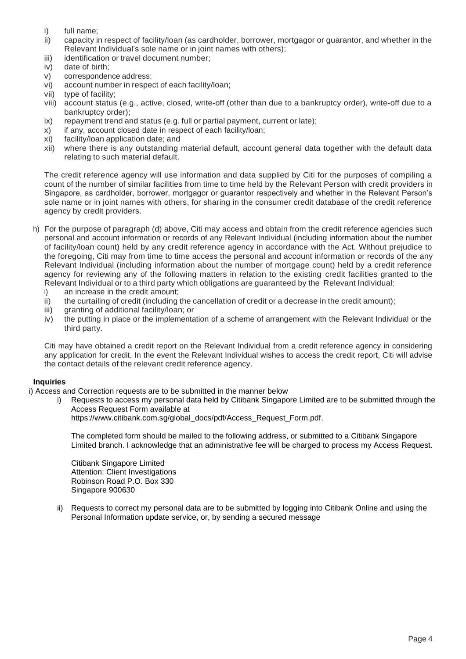- i) full name;<br>ii) capacity in
- capacity in respect of facility/loan (as cardholder, borrower, mortgagor or guarantor, and whether in the Relevant Individual's sole name or in joint names with others);
- iii) identification or travel document number;
- iv) date of birth;
- v) correspondence address;
- vi) account number in respect of each facility/loan;
- vii) type of facility;
- viii) account status (e.g., active, closed, write-off (other than due to a bankruptcy order), write-off due to a bankruptcy order);
- ix) repayment trend and status (e.g. full or partial payment, current or late);
- x) if any, account closed date in respect of each facility/loan;
- xi) facility/loan application date; and
- xii) where there is any outstanding material default, account general data together with the default data relating to such material default.

The credit reference agency will use information and data supplied by Citi for the purposes of compiling a count of the number of similar facilities from time to time held by the Relevant Person with credit providers in Singapore, as cardholder, borrower, mortgagor or guarantor respectively and whether in the Relevant Person's sole name or in joint names with others, for sharing in the consumer credit database of the credit reference agency by credit providers.

- h) For the purpose of paragraph (d) above, Citi may access and obtain from the credit reference agencies such personal and account information or records of any Relevant Individual (including information about the number of facility/loan count) held by any credit reference agency in accordance with the Act. Without prejudice to the foregoing, Citi may from time to time access the personal and account information or records of the any Relevant Individual (including information about the number of mortgage count) held by a credit reference agency for reviewing any of the following matters in relation to the existing credit facilities granted to the Relevant Individual or to a third party which obligations are guaranteed by the Relevant Individual:
	- i) an increase in the credit amount;
	- ii) the curtailing of credit (including the cancellation of credit or a decrease in the credit amount);
	- iii) granting of additional facility/loan; or
	- iv) the putting in place or the implementation of a scheme of arrangement with the Relevant Individual or the third party.

Citi may have obtained a credit report on the Relevant Individual from a credit reference agency in considering any application for credit. In the event the Relevant Individual wishes to access the credit report, Citi will advise the contact details of the relevant credit reference agency.

## **Inquiries**

- i) Access and Correction requests are to be submitted in the manner below
	- i) Requests to access my personal data held by Citibank Singapore Limited are to be submitted through the Access Request Form available at

[https://www.citibank.com.sg/global\\_docs/pdf/Access\\_Request\\_Form.pdf.](https://www.citibank.com.sg/global_docs/pdf/Access_Request_Form.pdf)

The completed form should be mailed to the following address, or submitted to a Citibank Singapore Limited branch. I acknowledge that an administrative fee will be charged to process my Access Request.

Citibank Singapore Limited Attention: Client Investigations Robinson Road P.O. Box 330 Singapore 900630

ii) Requests to correct my personal data are to be submitted by logging into Citibank Online and using the Personal Information update service, or, by sending a secured message